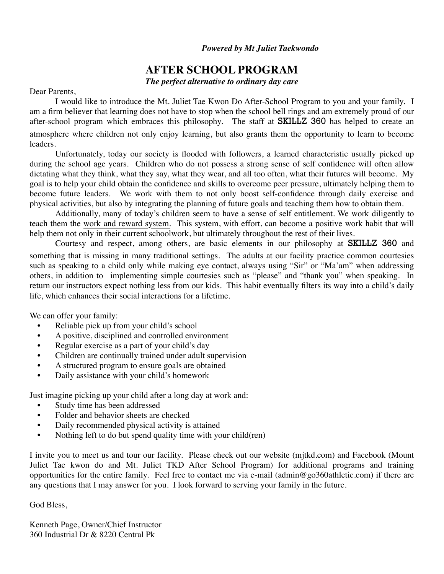#### *Powered by Mt Juliet Taekwondo*

## **AFTER SCHOOL PROGRAM**

*The perfect alternative to ordinary day care*

#### Dear Parents,

I would like to introduce the Mt. Juliet Tae Kwon Do After-School Program to you and your family. I am a firm believer that learning does not have to stop when the school bell rings and am extremely proud of our after-school program which embraces this philosophy. The staff at **SKILLZ 360** has helped to create an atmosphere where children not only enjoy learning, but also grants them the opportunity to learn to become leaders.

Unfortunately, today our society is flooded with followers, a learned characteristic usually picked up during the school age years. Children who do not possess a strong sense of self confidence will often allow dictating what they think, what they say, what they wear, and all too often, what their futures will become. My goal is to help your child obtain the confidence and skills to overcome peer pressure, ultimately helping them to become future leaders. We work with them to not only boost self-confidence through daily exercise and physical activities, but also by integrating the planning of future goals and teaching them how to obtain them.

Additionally, many of today's children seem to have a sense of self entitlement. We work diligently to teach them the work and reward system. This system, with effort, can become a positive work habit that will help them not only in their current schoolwork, but ultimately throughout the rest of their lives.

Courtesy and respect, among others, are basic elements in our philosophy at SKILLZ 360 and something that is missing in many traditional settings. The adults at our facility practice common courtesies such as speaking to a child only while making eye contact, always using "Sir" or "Ma'am" when addressing others, in addition to implementing simple courtesies such as "please" and "thank you" when speaking. In return our instructors expect nothing less from our kids. This habit eventually filters its way into a child's daily life, which enhances their social interactions for a lifetime.

We can offer your family:

- Reliable pick up from your child's school
- A positive, disciplined and controlled environment
- Regular exercise as a part of your child's day
- Children are continually trained under adult supervision
- A structured program to ensure goals are obtained
- Daily assistance with your child's homework

Just imagine picking up your child after a long day at work and:

- Study time has been addressed
- Folder and behavior sheets are checked
- Daily recommended physical activity is attained
- Nothing left to do but spend quality time with your child(ren)

I invite you to meet us and tour our facility. Please check out our website (mjtkd.com) and Facebook (Mount Juliet Tae kwon do and Mt. Juliet TKD After School Program) for additional programs and training opportunities for the entire family. Feel free to contact me via e-mail (admin@go360athletic.com) if there are any questions that I may answer for you. I look forward to serving your family in the future.

God Bless,

Kenneth Page, Owner/Chief Instructor 360 Industrial Dr & 8220 Central Pk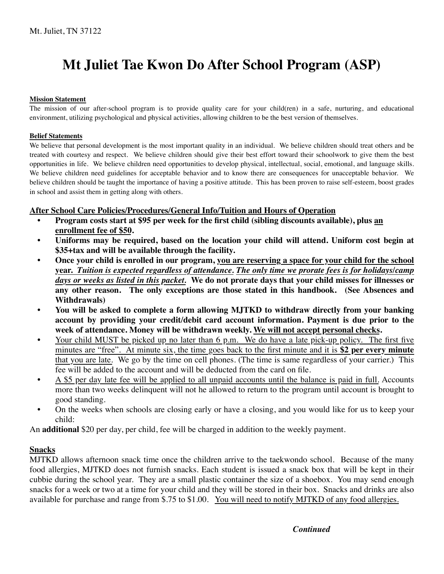# **Mt Juliet Tae Kwon Do After School Program (ASP)**

#### **Mission Statement**

The mission of our after-school program is to provide quality care for your child(ren) in a safe, nurturing, and educational environment, utilizing psychological and physical activities, allowing children to be the best version of themselves.

#### **Belief Statements**

We believe that personal development is the most important quality in an individual. We believe children should treat others and be treated with courtesy and respect. We believe children should give their best effort toward their schoolwork to give them the best opportunities in life. We believe children need opportunities to develop physical, intellectual, social, emotional, and language skills. We believe children need guidelines for acceptable behavior and to know there are consequences for unacceptable behavior. We believe children should be taught the importance of having a positive attitude. This has been proven to raise self-esteem, boost grades in school and assist them in getting along with others.

#### **After School Care Policies/Procedures/General Info/Tuition and Hours of Operation**

- **Program costs start at \$95 per week for the first child (sibling discounts available), plus an enrollment fee of \$50.**
- **Uniforms may be required, based on the location your child will attend. Uniform cost begin at \$35+tax and will be available through the facility.**
- **Once your child is enrolled in our program, you are reserving a space for your child for the school year.** *Tuition is expected regardless of attendance. The only time we prorate fees is for holidays/camp days or weeks as listed in this packet.* **We do not prorate days that your child misses for illnesses or any other reason. The only exceptions are those stated in this handbook. (See Absences and Withdrawals)**
- **You will be asked to complete a form allowing MJTKD to withdraw directly from your banking account by providing your credit/debit card account information. Payment is due prior to the week of attendance. Money will be withdrawn weekly. We will not accept personal checks.**
- Your child MUST be picked up no later than 6 p.m. We do have a late pick-up policy. The first five minutes are "free". At minute six, the time goes back to the first minute and it is **\$2 per every minute**  that you are late. We go by the time on cell phones. (The time is same regardless of your carrier.) This fee will be added to the account and will be deducted from the card on file.
- A \$5 per day late fee will be applied to all unpaid accounts until the balance is paid in full. Accounts more than two weeks delinquent will not he allowed to return to the program until account is brought to good standing.
- On the weeks when schools are closing early or have a closing, and you would like for us to keep your child:

An **additional** \$20 per day, per child, fee will be charged in addition to the weekly payment.

#### **Snacks**

MJTKD allows afternoon snack time once the children arrive to the taekwondo school. Because of the many food allergies, MJTKD does not furnish snacks. Each student is issued a snack box that will be kept in their cubbie during the school year. They are a small plastic container the size of a shoebox. You may send enough snacks for a week or two at a time for your child and they will be stored in their box. Snacks and drinks are also available for purchase and range from \$.75 to \$1.00. You will need to notify MJTKD of any food allergies.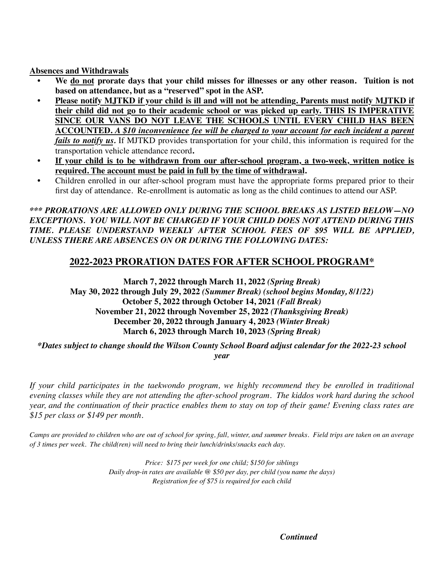**Absences and Withdrawals**

- **We do not prorate days that your child misses for illnesses or any other reason. Tuition is not based on attendance, but as a "reserved" spot in the ASP.**
- **• Please notify MJTKD if your child is ill and will not be attending. Parents must notify MJTKD if their child did not go to their academic school or was picked up early. THIS IS IMPERATIVE SINCE OUR VANS DO NOT LEAVE THE SCHOOLS UNTIL EVERY CHILD HAS BEEN ACCOUNTED.** *A \$10 inconvenience fee will be charged to your account for each incident a parent fails to notify us.* If MJTKD provides transportation for your child, this information is required for the transportation vehicle attendance record**.**
- **• If your child is to be withdrawn from our after-school program, a two-week, written notice is required. The account must be paid in full by the time of withdrawal.**
- Children enrolled in our after-school program must have the appropriate forms prepared prior to their first day of attendance. Re-enrollment is automatic as long as the child continues to attend our ASP.

#### *\*\*\* PRORATIONS ARE ALLOWED ONLY DURING THE SCHOOL BREAKS AS LISTED BELOW—NO EXCEPTIONS. YOU WILL NOT BE CHARGED IF YOUR CHILD DOES NOT ATTEND DURING THIS TIME. PLEASE UNDERSTAND WEEKLY AFTER SCHOOL FEES OF \$95 WILL BE APPLIED, UNLESS THERE ARE ABSENCES ON OR DURING THE FOLLOWING DATES:*

### **2022-2023 PRORATION DATES FOR AFTER SCHOOL PROGRAM\***

**March 7, 2022 through March 11, 2022** *(Spring Break)* **May 30, 2022 through July 29, 2022** *(Summer Break) (school begins Monday, 8/1/22)* **October 5, 2022 through October 14, 2021** *(Fall Break)* **November 21, 2022 through November 25, 2022** *(Thanksgiving Break)* **December 20, 2022 through January 4, 2023** *(Winter Break)* **March 6, 2023 through March 10, 2023** *(Spring Break)*

*\*Dates subject to change should the Wilson County School Board adjust calendar for the 2022-23 school year*

*If your child participates in the taekwondo program, we highly recommend they be enrolled in traditional evening classes while they are not attending the after-school program. The kiddos work hard during the school year, and the continuation of their practice enables them to stay on top of their game! Evening class rates are \$15 per class or \$149 per month.*

*Camps are provided to children who are out of school for spring, fall, winter, and summer breaks. Field trips are taken on an average of 3 times per week. The child(ren) will need to bring their lunch/drinks/snacks each day.*

> *Price: \$175 per week for one child; \$150 for siblings Daily drop-in rates are available @ \$50 per day, per child (you name the days) Registration fee of \$75 is required for each child*

> > *Continued*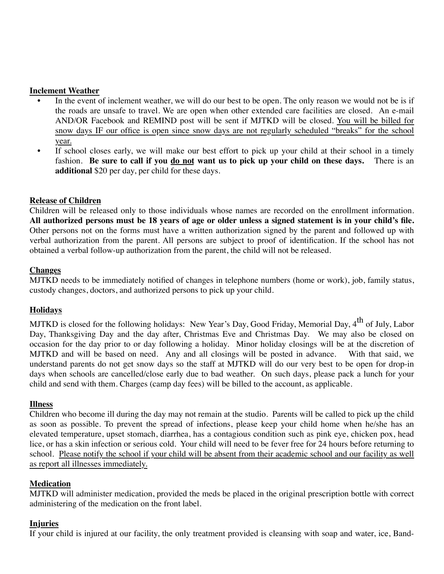#### **Inclement Weather**

- In the event of inclement weather, we will do our best to be open. The only reason we would not be is if the roads are unsafe to travel. We are open when other extended care facilities are closed. An e-mail AND/OR Facebook and REMIND post will be sent if MJTKD will be closed. You will be billed for snow days IF our office is open since snow days are not regularly scheduled "breaks" for the school year.
- If school closes early, we will make our best effort to pick up your child at their school in a timely fashion. **Be sure to call if you do not want us to pick up your child on these days.** There is an **additional** \$20 per day, per child for these days.

#### **Release of Children**

Children will be released only to those individuals whose names are recorded on the enrollment information. **All authorized persons must be 18 years of age or older unless a signed statement is in your child's file.**  Other persons not on the forms must have a written authorization signed by the parent and followed up with verbal authorization from the parent. All persons are subject to proof of identification. If the school has not obtained a verbal follow-up authorization from the parent, the child will not be released.

#### **Changes**

MJTKD needs to be immediately notified of changes in telephone numbers (home or work), job, family status, custody changes, doctors, and authorized persons to pick up your child.

#### **Holidays**

MJTKD is closed for the following holidays: New Year's Day, Good Friday, Memorial Day,  $4^{th}$  of July, Labor Day, Thanksgiving Day and the day after, Christmas Eve and Christmas Day. We may also be closed on occasion for the day prior to or day following a holiday. Minor holiday closings will be at the discretion of MJTKD and will be based on need. Any and all closings will be posted in advance. With that said, we understand parents do not get snow days so the staff at MJTKD will do our very best to be open for drop-in days when schools are cancelled/close early due to bad weather. On such days, please pack a lunch for your child and send with them. Charges (camp day fees) will be billed to the account, as applicable.

#### **Illness**

Children who become ill during the day may not remain at the studio. Parents will be called to pick up the child as soon as possible. To prevent the spread of infections, please keep your child home when he/she has an elevated temperature, upset stomach, diarrhea, has a contagious condition such as pink eye, chicken pox, head lice, or has a skin infection or serious cold. Your child will need to be fever free for 24 hours before returning to school. Please notify the school if your child will be absent from their academic school and our facility as well as report all illnesses immediately.

#### **Medication**

MJTKD will administer medication, provided the meds be placed in the original prescription bottle with correct administering of the medication on the front label.

#### **Injuries**

If your child is injured at our facility, the only treatment provided is cleansing with soap and water, ice, Band-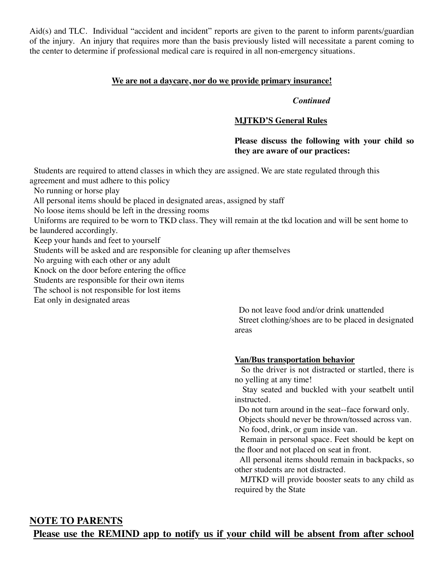Aid(s) and TLC. Individual "accident and incident" reports are given to the parent to inform parents/guardian of the injury. An injury that requires more than the basis previously listed will necessitate a parent coming to the center to determine if professional medical care is required in all non-emergency situations.

#### **We are not a daycare, nor do we provide primary insurance!**

#### *Continued*

#### **MJTKD'S General Rules**

#### **Please discuss the following with your child so they are aware of our practices:**

 Students are required to attend classes in which they are assigned. We are state regulated through this agreement and must adhere to this policy

No running or horse play

All personal items should be placed in designated areas, assigned by staff

No loose items should be left in the dressing rooms

 Uniforms are required to be worn to TKD class. They will remain at the tkd location and will be sent home to be laundered accordingly.

Keep your hands and feet to yourself

Students will be asked and are responsible for cleaning up after themselves

No arguing with each other or any adult

Knock on the door before entering the office

Students are responsible for their own items

The school is not responsible for lost items

Eat only in designated areas

 Do not leave food and/or drink unattended Street clothing/shoes are to be placed in designated areas

#### **Van/Bus transportation behavior**

 So the driver is not distracted or startled, there is no yelling at any time!

 Stay seated and buckled with your seatbelt until instructed.

Do not turn around in the seat--face forward only.

 Objects should never be thrown/tossed across van. No food, drink, or gum inside van.

 Remain in personal space. Feet should be kept on the floor and not placed on seat in front.

 All personal items should remain in backpacks, so other students are not distracted.

 MJTKD will provide booster seats to any child as required by the State

## **NOTE TO PARENTS**

**Please use the REMIND app to notify us if your child will be absent from after school**